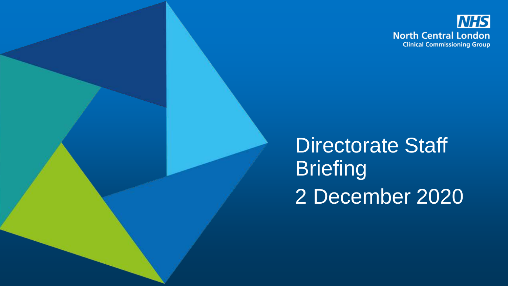

Directorate Staff **Briefing** 2 December 2020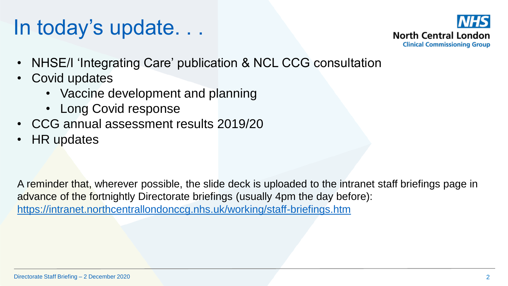#### In today's update. . .



- NHSE/I 'Integrating Care' publication & NCL CCG consultation
- Covid updates
	- Vaccine development and planning
	- Long Covid response
- CCG annual assessment results 2019/20
- HR updates

A reminder that, wherever possible, the slide deck is uploaded to the intranet staff briefings page in advance of the fortnightly Directorate briefings (usually 4pm the day before): <https://intranet.northcentrallondonccg.nhs.uk/working/staff-briefings.htm>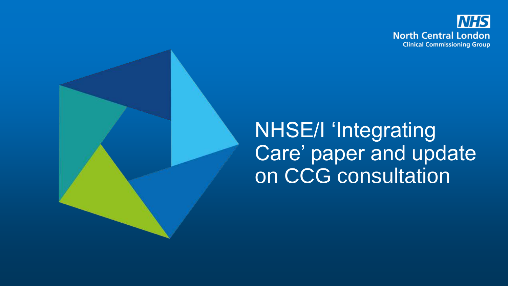

#### **NHSE/I** 'Integrating Care' paper and update on CCG consultation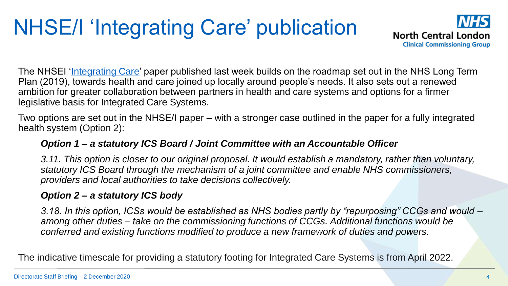# NHSE/I 'Integrating Care' publication



The NHSEI ['Integrating Care'](https://www.england.nhs.uk/wp-content/uploads/2020/11/261120-item-5-integrating-care-next-steps-for-integrated-care-systems.pdf) paper published last week builds on the roadmap set out in the NHS Long Term Plan (2019), towards health and care joined up locally around people's needs. It also sets out a renewed ambition for greater collaboration between partners in health and care systems and options for a firmer legislative basis for Integrated Care Systems.

Two options are set out in the NHSE/I paper – with a stronger case outlined in the paper for a fully integrated health system (Option 2):

#### *Option 1 – a statutory ICS Board / Joint Committee with an Accountable Officer*

*3.11. This option is closer to our original proposal. It would establish a mandatory, rather than voluntary, statutory ICS Board through the mechanism of a joint committee and enable NHS commissioners, providers and local authorities to take decisions collectively.*

#### *Option 2 – a statutory ICS body*

*3.18. In this option, ICSs would be established as NHS bodies partly by "repurposing" CCGs and would – among other duties – take on the commissioning functions of CCGs. Additional functions would be conferred and existing functions modified to produce a new framework of duties and powers.*

The indicative timescale for providing a statutory footing for Integrated Care Systems is from April 2022.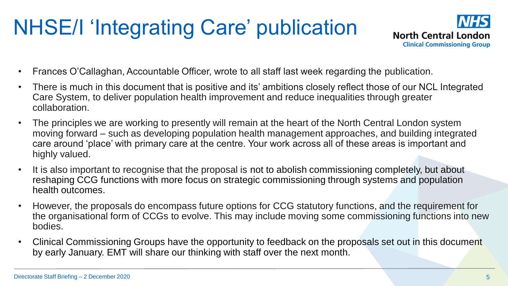# NHSE/I 'Integrating Care' publication



- Frances O'Callaghan, Accountable Officer, wrote to all staff last week regarding the publication.
- There is much in this document that is positive and its' ambitions closely reflect those of our NCL Integrated Care System, to deliver population health improvement and reduce inequalities through greater collaboration.
- The principles we are working to presently will remain at the heart of the North Central London system moving forward – such as developing population health management approaches, and building integrated care around 'place' with primary care at the centre. Your work across all of these areas is important and highly valued.
- It is also important to recognise that the proposal is not to abolish commissioning completely, but about reshaping CCG functions with more focus on strategic commissioning through systems and population health outcomes.
- However, the proposals do encompass future options for CCG statutory functions, and the requirement for the organisational form of CCGs to evolve. This may include moving some commissioning functions into new bodies.
- Clinical Commissioning Groups have the opportunity to feedback on the proposals set out in this document by early January. EMT will share our thinking with staff over the next month.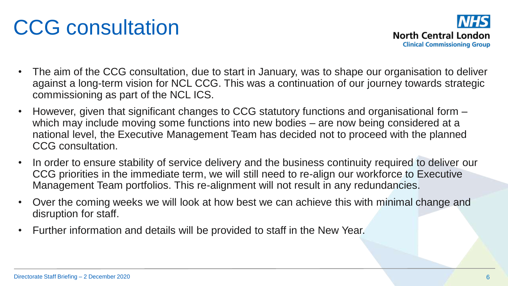### CCG consultation

- The aim of the CCG consultation, due to start in January, was to shape our organisation to deliver against a long-term vision for NCL CCG. This was a continuation of our journey towards strategic commissioning as part of the NCL ICS.
- However, given that significant changes to CCG statutory functions and organisational form which may include moving some functions into new bodies – are now being considered at a national level, the Executive Management Team has decided not to proceed with the planned CCG consultation.
- In order to ensure stability of service delivery and the business continuity required to deliver our CCG priorities in the immediate term, we will still need to re-align our workforce to Executive Management Team portfolios. This re-alignment will not result in any redundancies.
- Over the coming weeks we will look at how best we can achieve this with minimal change and disruption for staff.
- Further information and details will be provided to staff in the New Year.

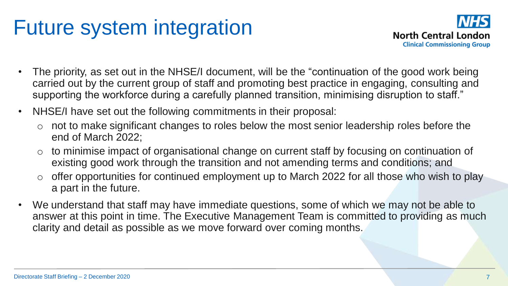#### Future system integration



- The priority, as set out in the NHSE/I document, will be the "continuation of the good work being carried out by the current group of staff and promoting best practice in engaging, consulting and supporting the workforce during a carefully planned transition, minimising disruption to staff."
- NHSE/I have set out the following commitments in their proposal:
	- o not to make significant changes to roles below the most senior leadership roles before the end of March 2022;
	- $\circ$  to minimise impact of organisational change on current staff by focusing on continuation of existing good work through the transition and not amending terms and conditions; and
	- $\circ$  offer opportunities for continued employment up to March 2022 for all those who wish to play a part in the future.
- We understand that staff may have immediate questions, some of which we may not be able to answer at this point in time. The Executive Management Team is committed to providing as much clarity and detail as possible as we move forward over coming months.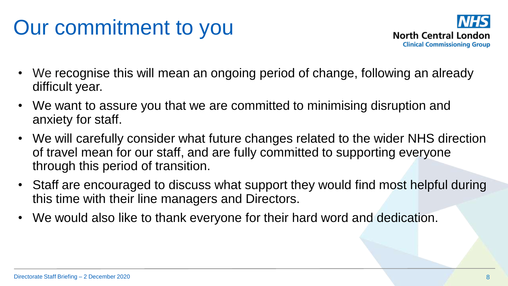# Our commitment to you



- We recognise this will mean an ongoing period of change, following an already difficult year.
- We want to assure you that we are committed to minimising disruption and anxiety for staff.
- We will carefully consider what future changes related to the wider NHS direction of travel mean for our staff, and are fully committed to supporting everyone through this period of transition.
- Staff are encouraged to discuss what support they would find most helpful during this time with their line managers and Directors.
- We would also like to thank everyone for their hard word and dedication.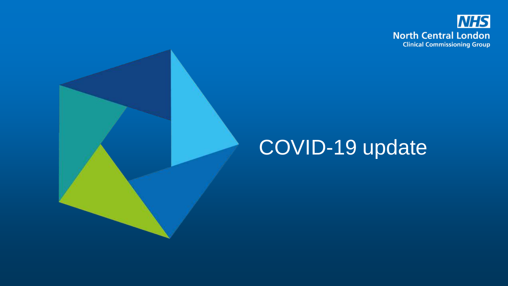

### COVID-19 update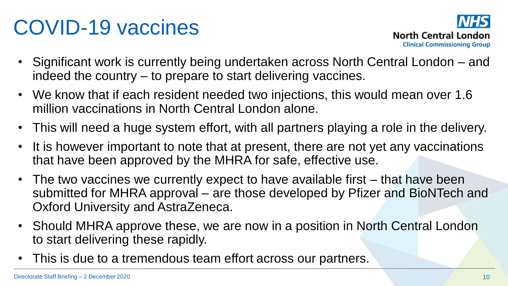### COVID-19 vaccines



- Significant work is currently being undertaken across North Central London and indeed the country – to prepare to start delivering vaccines.
- We know that if each resident needed two injections, this would mean over 1.6 million vaccinations in North Central London alone.
- This will need a huge system effort, with all partners playing a role in the delivery.
- It is however important to note that at present, there are not yet any vaccinations that have been approved by the MHRA for safe, effective use.
- The two vaccines we currently expect to have available first that have been submitted for MHRA approval – are those developed by Pfizer and BioNTech and Oxford University and AstraZeneca.
- Should MHRA approve these, we are now in a position in North Central London to start delivering these rapidly.
- This is due to a tremendous team effort across our partners.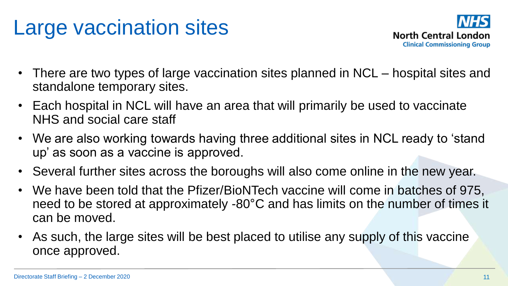#### Large vaccination sites



- There are two types of large vaccination sites planned in NCL hospital sites and standalone temporary sites.
- Each hospital in NCL will have an area that will primarily be used to vaccinate NHS and social care staff
- We are also working towards having three additional sites in NCL ready to 'stand up' as soon as a vaccine is approved.
- Several further sites across the boroughs will also come online in the new year.
- We have been told that the Pfizer/BioNTech vaccine will come in batches of 975, need to be stored at approximately -80°C and has limits on the number of times it can be moved.
- As such, the large sites will be best placed to utilise any supply of this vaccine once approved.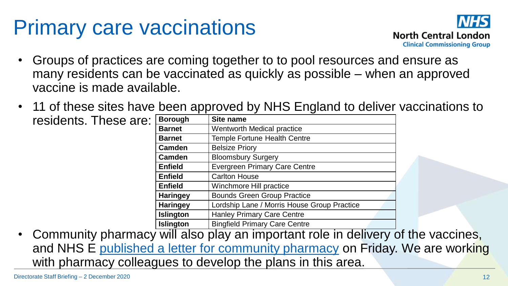#### Primary care vaccinations



- Groups of practices are coming together to to pool resources and ensure as many residents can be vaccinated as quickly as possible – when an approved vaccine is made available.
- 11 of these sites have been approved by NHS England to deliver vaccinations to residents. These are:

| <b>Borough</b>   | <b>Site name</b>                            |  |  |
|------------------|---------------------------------------------|--|--|
| <b>Barnet</b>    | <b>Wentworth Medical practice</b>           |  |  |
| <b>Barnet</b>    | <b>Temple Fortune Health Centre</b>         |  |  |
| Camden           | <b>Belsize Priory</b>                       |  |  |
| Camden           | <b>Bloomsbury Surgery</b>                   |  |  |
| <b>Enfield</b>   | <b>Evergreen Primary Care Centre</b>        |  |  |
| <b>Enfield</b>   | <b>Carlton House</b>                        |  |  |
| <b>Enfield</b>   | <b>Winchmore Hill practice</b>              |  |  |
| <b>Haringey</b>  | <b>Bounds Green Group Practice</b>          |  |  |
| <b>Haringey</b>  | Lordship Lane / Morris House Group Practice |  |  |
| <b>Islington</b> | <b>Hanley Primary Care Centre</b>           |  |  |
| <b>Islington</b> | <b>Bingfield Primary Care Centre</b>        |  |  |
|                  |                                             |  |  |

• Community pharmacy will also play an important role in delivery of the vaccines, and NHS E [published a letter for community pharmacy](https://www.england.nhs.uk/coronavirus/wp-content/uploads/sites/52/2020/11/C0912-urgent-preparing-for-community-pharmacy-to-contribute-to-a-potential-covid-19-19-vaccination-programme-2.pdf) on Friday. We are working with pharmacy colleagues to develop the plans in this area.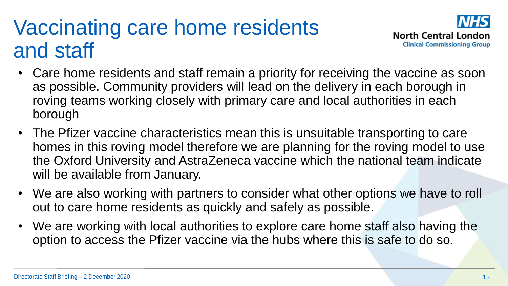#### Vaccinating care home residents and staff



- Care home residents and staff remain a priority for receiving the vaccine as soon as possible. Community providers will lead on the delivery in each borough in roving teams working closely with primary care and local authorities in each borough
- The Pfizer vaccine characteristics mean this is unsuitable transporting to care homes in this roving model therefore we are planning for the roving model to use the Oxford University and AstraZeneca vaccine which the national team indicate will be available from January.
- We are also working with partners to consider what other options we have to roll out to care home residents as quickly and safely as possible.
- We are working with local authorities to explore care home staff also having the option to access the Pfizer vaccine via the hubs where this is safe to do so.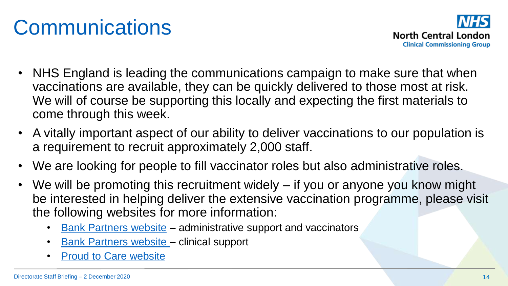• We will be promoting this recruitment widely – if you or anyone you know might be interested in helping deliver the extensive vaccination programme, please visit

• We are looking for people to fill vaccinator roles but also administrative roles.

• A vitally important aspect of our ability to deliver vaccinations to our population is

• NHS England is leading the communications campaign to make sure that when

vaccinations are available, they can be quickly delivered to those most at risk.

We will of course be supporting this locally and expecting the first materials to

the following websites for more information:

a requirement to recruit approximately 2,000 staff.

- **[Bank Partners website](https://mail.bankpartners.co.uk/p/4RWU-4KY/vaccinatorsadminnlp) administrative support and vaccinators**
- **[Bank Partners website –](https://mail.bankpartners.co.uk/p/4RWU-4L9/vaccinatorsrhcpnlp) clinical support**
- [Proud to Care website](https://www.proudtocarenorthlondon.org.uk/home)

come through this week.

**Communications** 

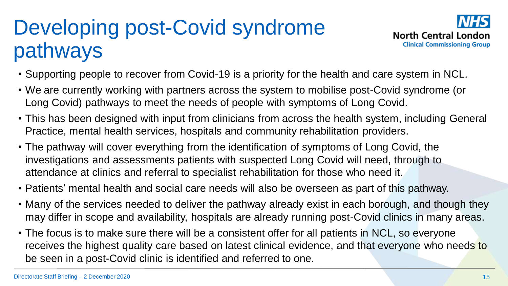# Developing post-Covid syndrome pathways



- Supporting people to recover from Covid-19 is a priority for the health and care system in NCL.
- We are currently working with partners across the system to mobilise post-Covid syndrome (or Long Covid) pathways to meet the needs of people with symptoms of Long Covid.
- This has been designed with input from clinicians from across the health system, including General Practice, mental health services, hospitals and community rehabilitation providers.
- The pathway will cover everything from the identification of symptoms of Long Covid, the investigations and assessments patients with suspected Long Covid will need, through to attendance at clinics and referral to specialist rehabilitation for those who need it.
- Patients' mental health and social care needs will also be overseen as part of this pathway.
- Many of the services needed to deliver the pathway already exist in each borough, and though they may differ in scope and availability, hospitals are already running post-Covid clinics in many areas.
- The focus is to make sure there will be a consistent offer for all patients in NCL, so everyone receives the highest quality care based on latest clinical evidence, and that everyone who needs to be seen in a post-Covid clinic is identified and referred to one.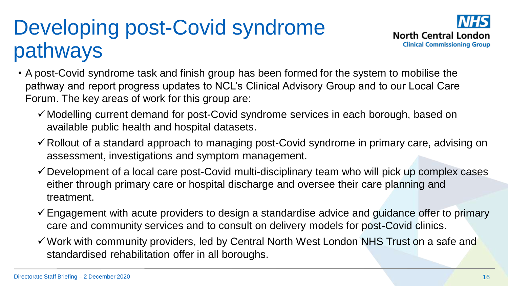# Developing post-Covid syndrome pathways



- A post-Covid syndrome task and finish group has been formed for the system to mobilise the pathway and report progress updates to NCL's Clinical Advisory Group and to our Local Care Forum. The key areas of work for this group are:
	- Modelling current demand for post-Covid syndrome services in each borough, based on available public health and hospital datasets.
	- $\checkmark$  Rollout of a standard approach to managing post-Covid syndrome in primary care, advising on assessment, investigations and symptom management.
	- $\checkmark$  Development of a local care post-Covid multi-disciplinary team who will pick up complex cases either through primary care or hospital discharge and oversee their care planning and treatment.
	- $\checkmark$  Engagement with acute providers to design a standardise advice and guidance offer to primary care and community services and to consult on delivery models for post-Covid clinics.
	- Work with community providers, led by Central North West London NHS Trust on a safe and standardised rehabilitation offer in all boroughs.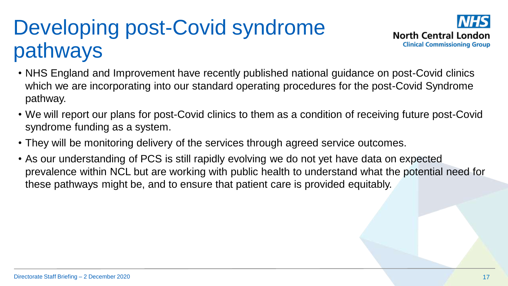# Developing post-Covid syndrome pathways



- NHS England and Improvement have recently published national guidance on post-Covid clinics which we are incorporating into our standard operating procedures for the post-Covid Syndrome pathway.
- We will report our plans for post-Covid clinics to them as a condition of receiving future post-Covid syndrome funding as a system.
- They will be monitoring delivery of the services through agreed service outcomes.
- As our understanding of PCS is still rapidly evolving we do not yet have data on expected prevalence within NCL but are working with public health to understand what the potential need for these pathways might be, and to ensure that patient care is provided equitably.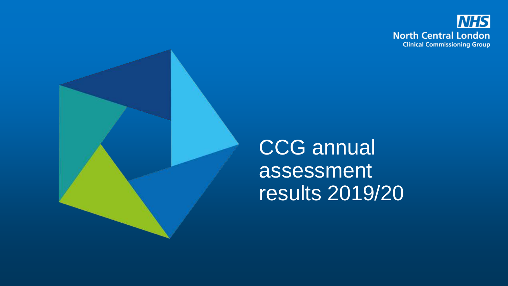



CCG annual assessment results 2019/20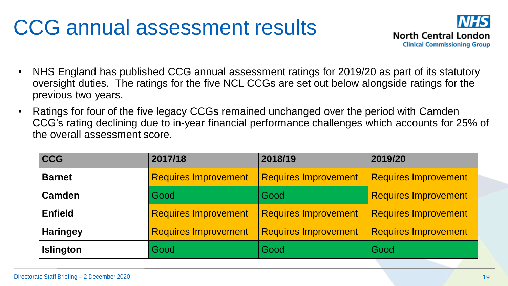#### CCG annual assessment results



- NHS England has published CCG annual assessment ratings for 2019/20 as part of its statutory oversight duties. The ratings for the five NCL CCGs are set out below alongside ratings for the previous two years.
- Ratings for four of the five legacy CCGs remained unchanged over the period with Camden CCG's rating declining due to in-year financial performance challenges which accounts for 25% of the overall assessment score.

| <b>CCG</b>       | 2017/18                     | 2018/19                     | 2019/20                     |
|------------------|-----------------------------|-----------------------------|-----------------------------|
| <b>Barnet</b>    | <b>Requires Improvement</b> | <b>Requires Improvement</b> | <b>Requires Improvement</b> |
| <b>Camden</b>    | Good                        | Good                        | <b>Requires Improvement</b> |
| <b>Enfield</b>   | <b>Requires Improvement</b> | <b>Requires Improvement</b> | <b>Requires Improvement</b> |
| <b>Haringey</b>  | <b>Requires Improvement</b> | <b>Requires Improvement</b> | <b>Requires Improvement</b> |
| <b>Islington</b> | Good                        | Good                        | Good                        |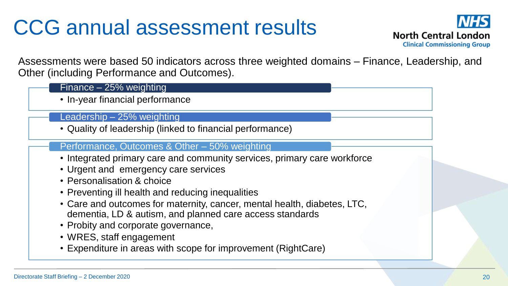### CCG annual assessment results



Assessments were based 50 indicators across three weighted domains – Finance, Leadership, and Other (including Performance and Outcomes).

#### Finance – 25% weighting

• In-year financial performance

#### Leadership – 25% weighting

• Quality of leadership (linked to financial performance)

#### Performance, Outcomes & Other – 50% weighting

- Integrated primary care and community services, primary care workforce
- Urgent and emergency care services
- Personalisation & choice
- Preventing ill health and reducing inequalities
- Care and outcomes for maternity, cancer, mental health, diabetes, LTC, dementia, LD & autism, and planned care access standards
- Probity and corporate governance,
- WRES, staff engagement
- Expenditure in areas with scope for improvement (RightCare)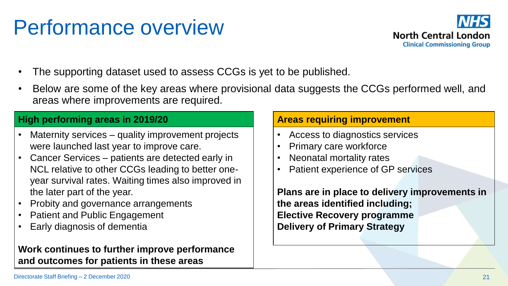#### Performance overview

- The supporting dataset used to assess CCGs is yet to be published.
- Below are some of the key areas where provisional data suggests the CCGs performed well, and areas where improvements are required.

#### **High performing areas in 2019/20**

- Maternity services quality improvement projects were launched last year to improve care.
- Cancer Services patients are detected early in NCL relative to other CCGs leading to better oneyear survival rates. Waiting times also improved in the later part of the year.
- Probity and governance arrangements
- Patient and Public Engagement
- Early diagnosis of dementia

#### **Work continues to further improve performance and outcomes for patients in these areas**

#### **Areas requiring improvement**

- Access to diagnostics services
- Primary care workforce
- Neonatal mortality rates
- Patient experience of GP services

**Plans are in place to delivery improvements in the areas identified including; Elective Recovery programme Delivery of Primary Strategy**

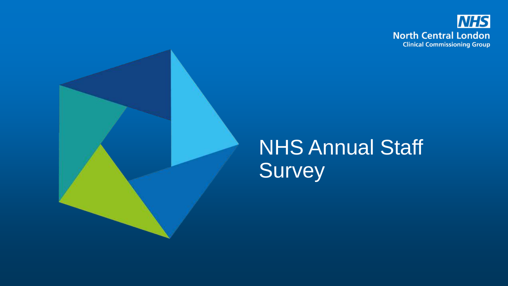

### NHS Annual Staff **Survey**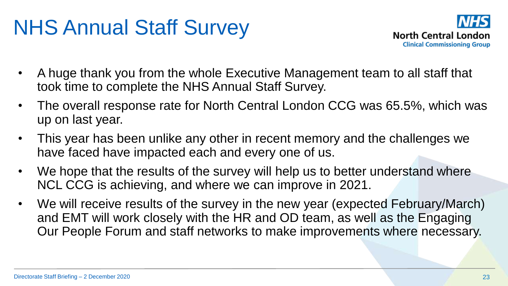# NHS Annual Staff Survey



- A huge thank you from the whole Executive Management team to all staff that took time to complete the NHS Annual Staff Survey.
- The overall response rate for North Central London CCG was 65.5%, which was up on last year.
- This year has been unlike any other in recent memory and the challenges we have faced have impacted each and every one of us.
- We hope that the results of the survey will help us to better understand where NCL CCG is achieving, and where we can improve in 2021.
- We will receive results of the survey in the new year (expected February/March) and EMT will work closely with the HR and OD team, as well as the Engaging Our People Forum and staff networks to make improvements where necessary.